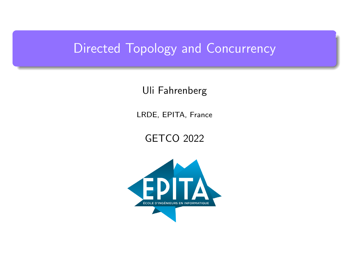## <span id="page-0-0"></span>Directed Topology and Concurrency

Uli Fahrenberg

LRDE, EPITA, France

GETCO 2022

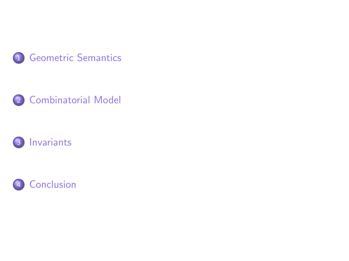





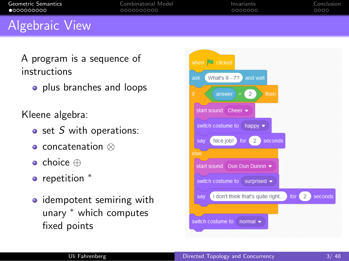<span id="page-2-0"></span>

| Geometric Semantics | Combinatorial Model | Invariants | Conclusion |
|---------------------|---------------------|------------|------------|
| $\bullet$ 000000000 | 0000000000          | 0000000    | 0000       |
|                     |                     |            |            |

#### Algebraic View

A program is a sequence of instructions

o plus branches and loops

Kleene algebra:

- $\bullet$  set S with operations:
- concatenation ⊗
- choice ⊕
- repetition  $*$
- idempotent semiring with unary <sup>∗</sup> which computes fixed points

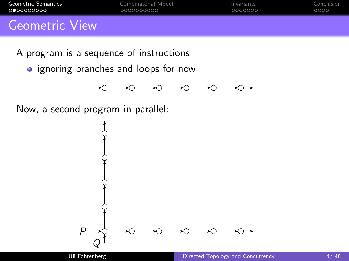<span id="page-3-0"></span>

| Geometric Semantics                                                    | Combinatorial Model | Invariants | Conclusion |
|------------------------------------------------------------------------|---------------------|------------|------------|
| <b>.</b>                                                               | 0000000000          | 0000000    | റററെ       |
| $C_{\text{e}}$ and $\text{e}$ and $\text{e}$ $\text{V}$ and $\text{e}$ |                     |            |            |

A program is a sequence of instructions

• ignoring branches and loops for now



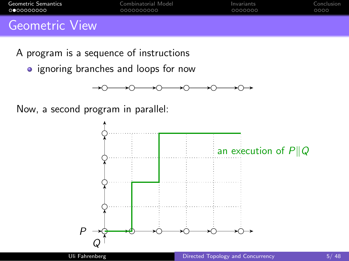| 0000000000          | 0000000000          | 0000000    | LOOOO!     |
|---------------------|---------------------|------------|------------|
| Geometric Semantics | Combinatorial Model | Invariants | Conclusion |

- A program is a sequence of instructions
	- ignoring branches and loops for now



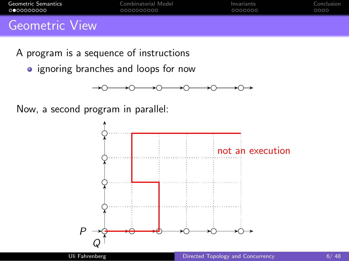| <b>.</b>            | 0000000000          | 0000000    | 0000       |
|---------------------|---------------------|------------|------------|
| Geometric Semantics | Combinatorial Model | Invariants | Conclusion |

- A program is a sequence of instructions
	- ignoring branches and loops for now



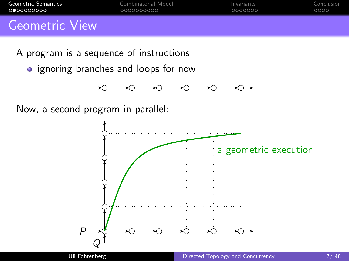| <b>____________________</b> | 0000000000          | 0000000           | 0000       |
|-----------------------------|---------------------|-------------------|------------|
| Geometric Semantics         | Combinatorial Model | <b>Invariants</b> | Conclusion |

- A program is a sequence of instructions
	- ignoring branches and loops for now



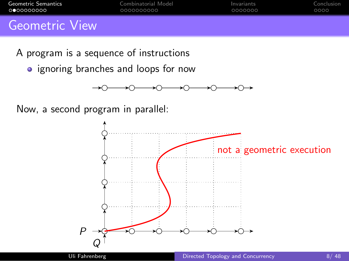| <b>____________________</b> | 0000000000          | 0000000           | 0000       |
|-----------------------------|---------------------|-------------------|------------|
| Geometric Semantics         | Combinatorial Model | <b>Invariants</b> | Conclusion |

- A program is a sequence of instructions
	- ignoring branches and loops for now



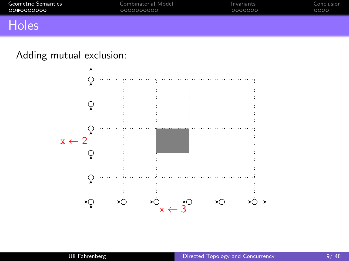<span id="page-8-0"></span>

| Geometric Semantics | Combinatorial Model | Invariants | Conclusion |
|---------------------|---------------------|------------|------------|
| ററ●റററററററ          | 0000000000          | 0000000    | 0000       |
|                     |                     |            |            |

#### **Holes**

#### Adding mutual exclusion:

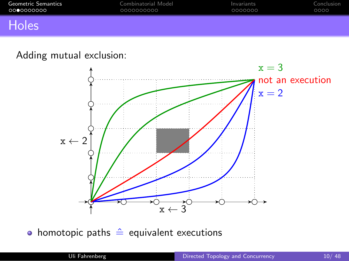| Geometric Semantics | Combinatorial Model | Invariants | Conclusion |
|---------------------|---------------------|------------|------------|
| .0000000000         | 0000000000          | 0000000    | 0000       |
|                     |                     |            |            |

#### Holes

#### Adding mutual exclusion:



• homotopic paths  $\hat{=}$  equivalent executions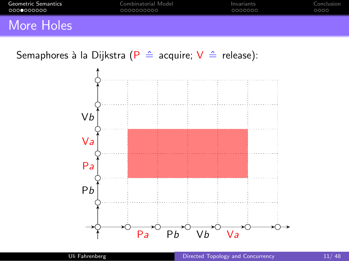<span id="page-10-0"></span>

| <b>Geometric Semantics</b> | Combinatorial Model | Invariants | Conclusion |
|----------------------------|---------------------|------------|------------|
| _000 <b>_</b> 000000       | 0000000000          | 0000000    | ററററ       |
|                            |                     |            |            |

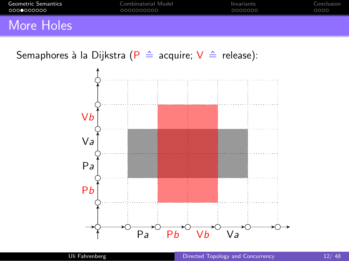| Geometric Semantics | Combinatorial Model | Invariants | Conclusion |
|---------------------|---------------------|------------|------------|
| റററ⊜റററററ           | LOOOOOOOOOO         | 0000000    | 0000       |
|                     |                     |            |            |

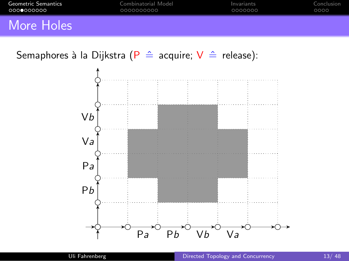| Geometric Semantics | Combinatorial Model | Invariants | Conclusion |
|---------------------|---------------------|------------|------------|
| _0000000000         | 0000000000          | 0000000    | 0000       |
|                     |                     |            |            |

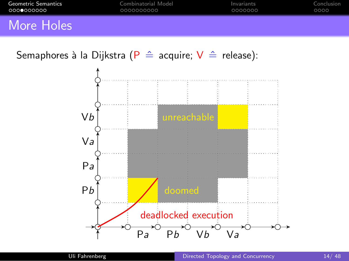| <b>Geometric Semantics</b> | Combinatorial Model | Invariants | Conclusion |
|----------------------------|---------------------|------------|------------|
| _000 <b>_</b> 000000       | 0000000000          | 0000000    | ററററ       |
|                            |                     |            |            |

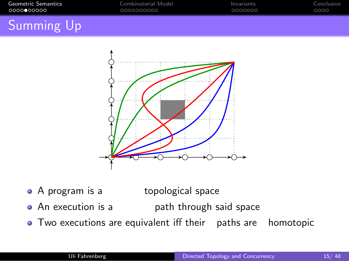<span id="page-14-0"></span>

| Geometric Semantics | Combinatorial Model | Invariants | Conclusion |
|---------------------|---------------------|------------|------------|
| റററൈ∙ററററ           | 0000000000          | 0000000    | 0000       |
|                     |                     |            |            |

## Summing Up



- A program is a topological space
- An execution is a path through said space
- Two executions are equivalent iff their paths are homotopic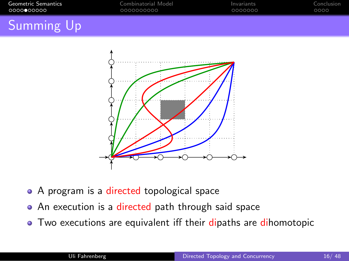| Geometric Semantics | Combinatorial Model | Invariants | Conclusion |
|---------------------|---------------------|------------|------------|
| റററൈ∙ററററ           | 0000000000          | 0000000    | 0000       |
|                     |                     |            |            |

## Summing Up



- A program is a directed topological space
- An execution is a directed path through said space
- Two executions are equivalent iff their dipaths are dihomotopic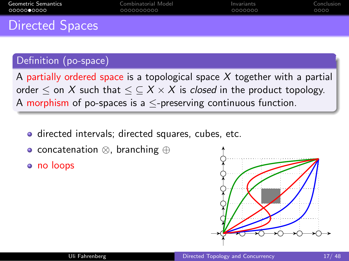<span id="page-16-0"></span>

| Geometric Semantics  | Combinatorial Model | Invariants | Conclusion |
|----------------------|---------------------|------------|------------|
| _00000 <b>0</b> 0000 | 0000000000          | 0000000    | 0000       |
| Diroctod Cancoc      |                     |            |            |

#### Directed Spaces

#### Definition (po-space)

A partially ordered space is a topological space  $X$  together with a partial order  $\leq$  on X such that  $\leq \leq X \times X$  is *closed* in the product topology. A morphism of po-spaces is a  $\leq$ -preserving continuous function.

- **o** directed intervals; directed squares, cubes, etc.
- concatenation ⊗, branching ⊕
- o no loops

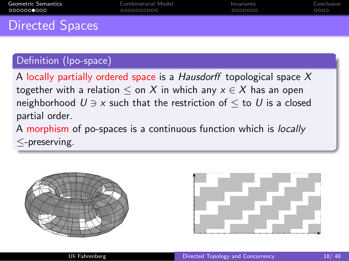<span id="page-17-0"></span>

| Geometric Semantics    | Combinatorial Model | Invariants | Conclusion |
|------------------------|---------------------|------------|------------|
| റററററൈററെ              | 0000000000          | 0000000    | 0000       |
| <b>Directed Spaces</b> |                     |            |            |

# Definition (lpo-space)

A locally partially ordered space is a Hausdorff topological space  $X$ together with a relation  $\leq$  on X in which any  $x \in X$  has an open neighborhood  $U \ni x$  such that the restriction of  $\leq$  to U is a closed partial order.

A morphism of po-spaces is a continuous function which is locally ≤-preserving.



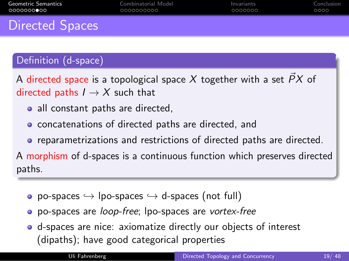<span id="page-18-0"></span>

| 0000000 <b>0</b> 00 | 0000000000          | 0000000    | 0000       |
|---------------------|---------------------|------------|------------|
| Geometric Semantics | Combinatorial Model | Invariants | Conclusion |

#### Directed Spaces

#### Definition (d-space)

A directed space is a topological space X together with a set  $\overrightarrow{PX}$  of directed paths  $I \rightarrow X$  such that

- all constant paths are directed,
- **o** concatenations of directed paths are directed, and
- **•** reparametrizations and restrictions of directed paths are directed.

A morphism of d-spaces is a continuous function which preserves directed paths.

- po-spaces  $\hookrightarrow$  lpo-spaces  $\hookrightarrow$  d-spaces (not full)
- **o** po-spaces are *loop-free*; lpo-spaces are vortex-free
- d-spaces are nice: axiomatize directly our objects of interest (dipaths); have good categorical properties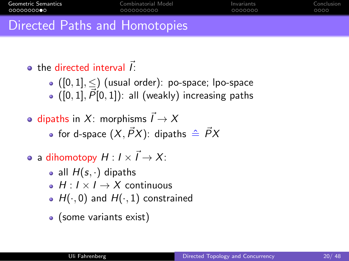<span id="page-19-0"></span>

| <b>Geometric Semantics</b>    | Combinatorial Model | Invariants | Conclusion |
|-------------------------------|---------------------|------------|------------|
|                               | 0000000000          | 0000000    | 0000       |
| Directed Paths and Homotopies |                     |            |            |

 $\bullet$  the directed interval  $\vec{l}$ :

- $\bullet$  ([0, 1],  $\leq$ ) (usual order): po-space; lpo-space  $(0, 1], P[0, 1])$ : all (weakly) increasing paths
- dipaths in X: morphisms  $\vec{l} \rightarrow X$ • for d-space  $(X, \vec{P}X)$ : dipaths  $\triangleq \vec{P}X$
- a dihomotopy  $H: I \times \vec{I} \rightarrow X$ :
	- all  $H(s, \cdot)$  dipaths
	- $H: I \times I \rightarrow X$  continuous
	- $H(\cdot, 0)$  and  $H(\cdot, 1)$  constrained
	- (some variants exist)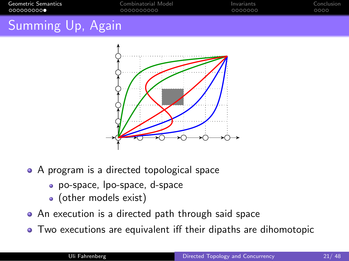<span id="page-20-0"></span>

| Geometric Semantics<br>െറെററററ <b>െ</b> |  | Combinatorial Model<br>0000000000 | Invariants<br>0000000 | Conclusion<br>0000 |
|-----------------------------------------|--|-----------------------------------|-----------------------|--------------------|
|                                         |  |                                   |                       |                    |

## Summing Up, Again



- A program is a directed topological space
	- po-space, lpo-space, d-space
	- (other models exist)
- An execution is a directed path through said space
- Two executions are equivalent iff their dipaths are dihomotopic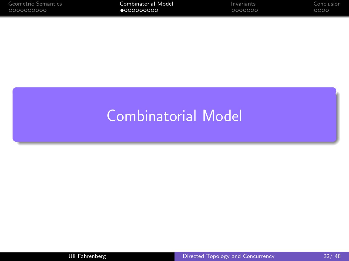<span id="page-21-0"></span>

| Geometric Semantics | Combinatorial Model | Invariants | Conclusion |
|---------------------|---------------------|------------|------------|
| .0000000000         | $\bullet$ 000000000 | 0000000    | 0000       |

# [Combinatorial Model](#page-21-0)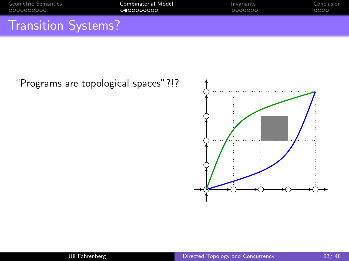<span id="page-22-0"></span>

| Geometric Semantics        | Combinatorial Model | Invariants | Conclusion |
|----------------------------|---------------------|------------|------------|
|                            | 0000000000          | 0000000    | 0000       |
| <b>Transition Systems?</b> |                     |            |            |

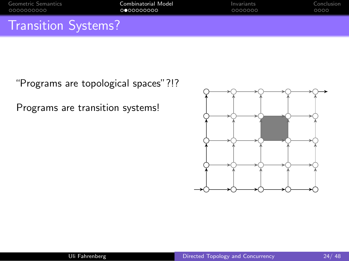| Geometric Semantics        | Combinatorial Model | Invariants | Conclusion |
|----------------------------|---------------------|------------|------------|
| _0000000000                | 0000000000          | 0000000    | 0000       |
| <b>Transition Systems?</b> |                     |            |            |

"Programs are topological spaces"?!?

Programs are transition systems!

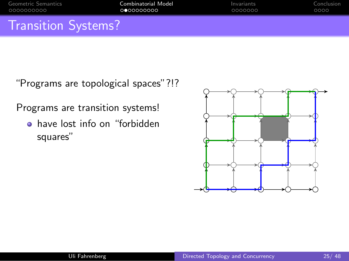| Geometric Semantics        | Combinatorial Model | Invariants | Conclusion |
|----------------------------|---------------------|------------|------------|
| . 0000000000               | 0000000000          | 0000000    | 0000       |
| <b>Transition Systems?</b> |                     |            |            |

"Programs are topological spaces"?!?

Programs are transition systems!

• have lost info on "forbidden squares"

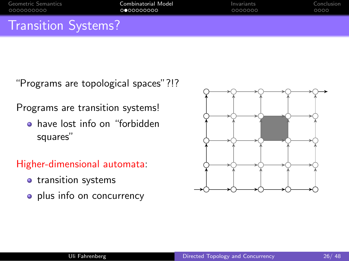| <b>Transition Systems?</b> |                     |            |            |
|----------------------------|---------------------|------------|------------|
| _0000000000                | െറെറററററ            | 0000000    | 0000       |
| Geometric Semantics        | Combinatorial Model | Invariants | Conclusion |

Transition Systems?

"Programs are topological spaces"?!?

Programs are transition systems!

**•** have lost info on "forbidden squares"

Higher-dimensional automata:

- o transition systems
- plus info on concurrency

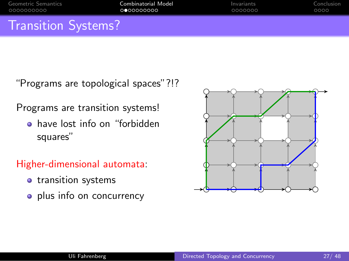| Geometric Semantics        | Combinatorial Model | Invariants | Conclusion |
|----------------------------|---------------------|------------|------------|
| _0000000000                | 0000000000          | 0000000    | 0000       |
| <b>Transition Systems?</b> |                     |            |            |

"Programs are topological spaces"?!?

Programs are transition systems!

**•** have lost info on "forbidden squares"

Higher-dimensional automata:

- o transition systems
- plus info on concurrency

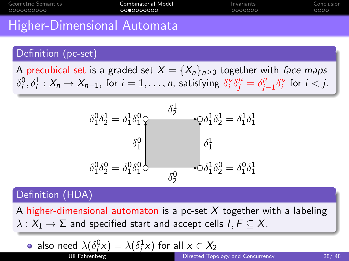<span id="page-27-0"></span>

| Geometric Semantics | Combinatorial Model | Invariants | Conclusion <sup>1</sup> |
|---------------------|---------------------|------------|-------------------------|
| 0000000000          | 0000000000          | 0000000    | 0000                    |
|                     |                     |            |                         |

#### Higher-Dimensional Automata

#### Definition (pc-set)

A precubical set is a graded set  $X = \{X_n\}_{n\geq 0}$  together with face maps  $\delta_i^0, \delta_i^1: X_n \to X_{n-1}$ , for  $i = 1, \ldots, n$ , satisfying  $\delta_i^{\nu} \delta_j^{\mu} = \delta_j^{\mu}$  $\int_{j-1}^{\mu} \delta_i^{\nu}$  for  $i < j$ .



#### Definition (HDA)

A higher-dimensional automaton is a pc-set X together with a labeling  $\lambda: X_1 \to \Sigma$  and specified start and accept cells  $I, F \subseteq X$ .

**a** also need 
$$
\lambda(\delta_i^0 x) = \lambda(\delta_i^1 x)
$$
 for all  $x \in X_2$   
Uli Fahrenheit *Q* Directed Topology and Concurrency 28/48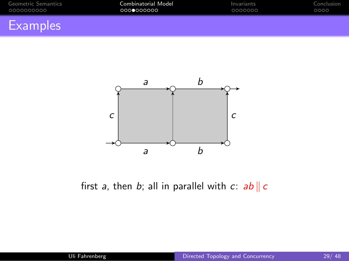<span id="page-28-0"></span>

| Geometric Semantics | Combinatorial Model | Invariants | Conclusion |
|---------------------|---------------------|------------|------------|
| 0000000000          | 0000000000          | 0000000    | 0000       |
| <b>Examples</b>     |                     |            |            |



first a, then b; all in parallel with c:  $ab \parallel c$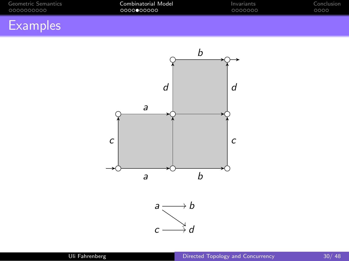<span id="page-29-0"></span>

| Geometric Semantics | Combinatorial Model | Invariants | Conclusion |
|---------------------|---------------------|------------|------------|
| 0000000000          | , 0000●00000        | 0000000    | 0000       |
|                     |                     |            |            |

## **Examples**

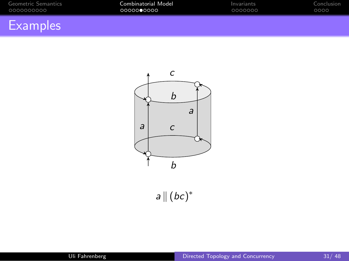<span id="page-30-0"></span>

| Geometric Semantics | Combinatorial Model | Invariants | Conclusion |
|---------------------|---------------------|------------|------------|
| .0000000000         | 00000 <b>0</b> 0000 | 0000000    | 0000       |
|                     |                     |            |            |

## **Examples**



 $a\| (bc)^*$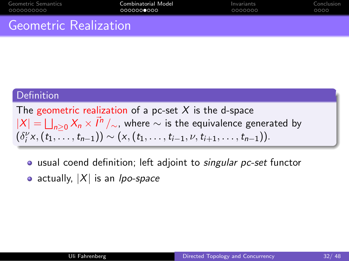<span id="page-31-0"></span>

| Geometric Semantics | Combinatorial Model | Invariants | Conclusion |
|---------------------|---------------------|------------|------------|
| _0000000000         | _000000●000         | 0000000    | 0000       |
|                     |                     |            |            |

#### Geometric Realization

#### **Definition**

The geometric realization of a pc-set  $X$  is the d-space  $|X| = \bigsqcup_{n \geq 0} X_n \times \vec{I}^n /_{\sim}$ , where  $\sim$  is the equivalence generated by  $(\delta_i^{\nu} x, (t_1, \ldots, t_{n-1})) \sim (x, (t_1, \ldots, t_{i-1}, \nu, t_{i+1}, \ldots, t_{n-1})).$ 

- usual coend definition; left adjoint to singular pc-set functor
- actually,  $|X|$  is an *lpo-space*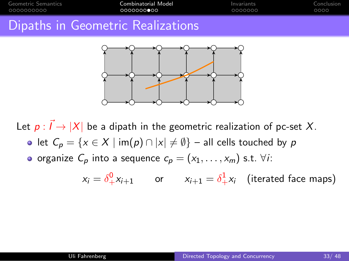<span id="page-32-0"></span>

| Geometric Semantics | Combinatorial Model               | Invariants | Conclusion |
|---------------------|-----------------------------------|------------|------------|
| 0000000000          | 00000000000                       | 0000000    | 0000       |
|                     | Dipaths in Geometric Realizations |            |            |



Let  $p: \vec{l} \rightarrow |X|$  be a dipath in the geometric realization of pc-set X. • let  $C_p = \{x \in X \mid \text{im}(p) \cap |x| \neq \emptyset\}$  – all cells touched by p o organize  $C_p$  into a sequence  $c_p = (x_1, \ldots, x_m)$  s.t.  $\forall i$ :

$$
x_i = \delta^0_+ x_{i+1}
$$
 or  $x_{i+1} = \delta^1_+ x_i$  (iterated face maps)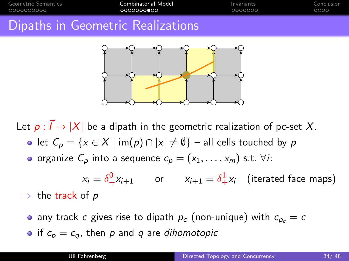| Geometric Semantics | Combinatorial Model               | Invariants | Conclusion |
|---------------------|-----------------------------------|------------|------------|
| .0000000000         | 0000000000                        | 0000000    | 0000       |
|                     | Dipaths in Geometric Realizations |            |            |



Let  $p: \vec{l} \rightarrow |X|$  be a dipath in the geometric realization of pc-set X. • let  $C_p = \{x \in X \mid \text{im}(p) \cap |x| \neq \emptyset\}$  – all cells touched by p o organize  $C_p$  into a sequence  $c_p = (x_1, \ldots, x_m)$  s.t.  $\forall i$ :

 $x_i = \delta^0_+ x_{i+1}$  or  $x_{i+1} = \delta^1_+ x_i$  (iterated face maps)  $\Rightarrow$  the track of p

• any track c gives rise to dipath  $p_c$  (non-unique) with  $c_{p_c} = c$ • if  $c_p = c_q$ , then p and q are dihomotopic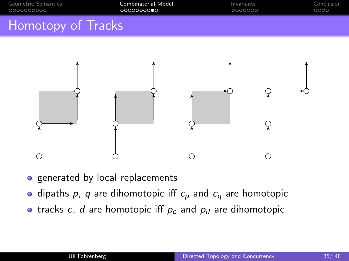<span id="page-34-0"></span>

| Geometric Semantics | Combinatorial Model | Invariants | Conclusion |
|---------------------|---------------------|------------|------------|
| _0000000000         | .0000000000         | 0000000    | 0000       |
| Llamatany of Tradis |                     |            |            |

## Homotopy of Tracks



• generated by local replacements

- dipaths p, q are dihomotopic iff  $c_p$  and  $c_q$  are homotopic
- tracks c, d are homotopic iff  $p_c$  and  $p_d$  are dihomotopic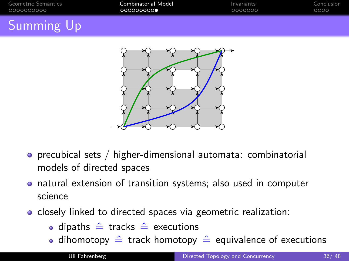<span id="page-35-0"></span>

| Geometric Semantics | Combinatorial Model | Invariants | Conclusion |
|---------------------|---------------------|------------|------------|
| .0000000000         | 0000000000          | LOOOOOOO   | 0000       |
| $\sim$              |                     |            |            |

## Summing Up



- precubical sets / higher-dimensional automata: combinatorial models of directed spaces
- natural extension of transition systems; also used in computer science
- **•** closely linked to directed spaces via geometric realization:
	- dipaths  $\hat{=}$  tracks  $\hat{=}$  executions
	- dihomotopy  $\hat{=}$  track homotopy  $\hat{=}$  equivalence of executions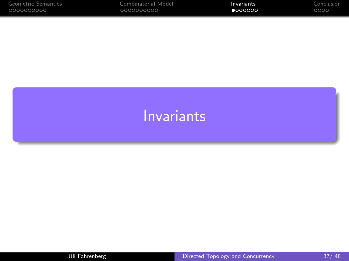<span id="page-36-0"></span>

| Geometric Semantics | Combinatorial Model | Invariants | Conclusion |
|---------------------|---------------------|------------|------------|
| 00000000000         | 0000000000          | 1000000    | 0000       |

# [Invariants](#page-36-0)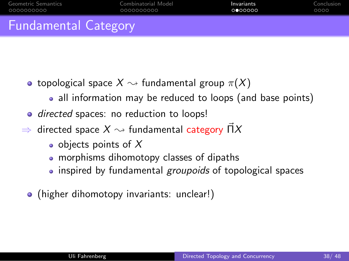<span id="page-37-0"></span>

| Geometric Semantics         | Combinatorial Model | Invariants | Conclusion |
|-----------------------------|---------------------|------------|------------|
| 0000000000                  | 0000000000          | 0000000    | റററെ       |
| <b>Fundamental Category</b> |                     |            |            |

- topological space  $X \sim$  fundamental group  $\pi(X)$ 
	- all information may be reduced to loops (and base points)
- directed spaces: no reduction to loops!
- $\Rightarrow$  directed space  $X \rightsquigarrow$  fundamental category  $\vec{\Pi}X$ 
	- objects points of  $X$
	- morphisms dihomotopy classes of dipaths
	- inspired by fundamental *groupoids* of topological spaces
	- (higher dihomotopy invariants: unclear!)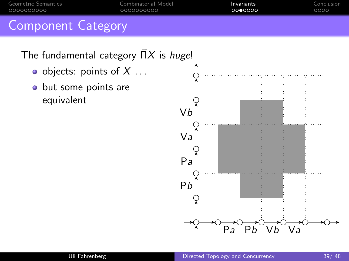<span id="page-38-0"></span>

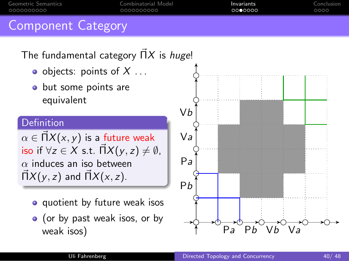

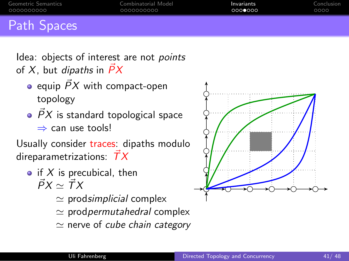<span id="page-40-0"></span>

| Geometric Semantics | Combinatorial Model | Invariants | Conclusion |
|---------------------|---------------------|------------|------------|
| .0000000000         | 0000000000          | റററററെറ    | 0000       |
|                     |                     |            |            |

## Path Spaces

Idea: objects of interest are not *points* of X, but dipaths in  $\overrightarrow{P}X$ 

- equip  $\vec{P}X$  with compact-open topology
- $\overrightarrow{P}X$  is standard topological space ⇒ can use tools!

Usually consider traces: dipaths modulo direparametrizations:  $\overrightarrow{T}X$ 

- if X is precubical, then  $\vec{P}X\sim \vec{T}X$ 
	- $\simeq$  prod*simplicial* complex
	- $\simeq$  prod*permutahedral* complex
	- $\simeq$  nerve of *cube chain category*

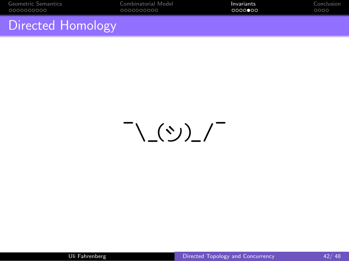<span id="page-41-0"></span>

| Geometric Semantics | Combinatorial Model | Invariants | Conclusion |
|---------------------|---------------------|------------|------------|
| 0000000000          | 0000000000          | 0000000    | 0000       |
|                     |                     |            |            |

#### Directed Homology

 $\overline{\phantom{a}}$ \\_()")\_/  $\overline{\phantom{a}}$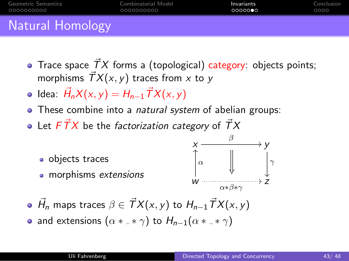<span id="page-42-0"></span>

| Natural Homology                                                        |                              |                    |
|-------------------------------------------------------------------------|------------------------------|--------------------|
| Geometric Semantics<br>Combinatorial Model<br>.0000000000<br>0000000000 | Invariants<br>െറെ <b>െ</b> െ | Conclusion<br>റററെ |

## Natural Homology

- Trace space  $\vec{T}X$  forms a (topological) category: objects points; morphisms  $\overrightarrow{T}X(x, y)$  traces from x to y
- Idea:  $\vec{H}_n X(x,y) = H_{n-1} \vec{T} X(x,y)$
- These combine into a *natural system* of abelian groups:
- Let  $F\vec{T}X~$  be the factorization category of  $\vec{T}X~$



- $\vec{H}_n$  maps traces  $\beta \in \vec{T}X(x,y)$  to  $H_{n-1}\vec{T}X(x,y)$
- and extensions  $(\alpha *_{-} * \gamma)$  to  $H_{n-1}(\alpha *_{-} * \gamma)$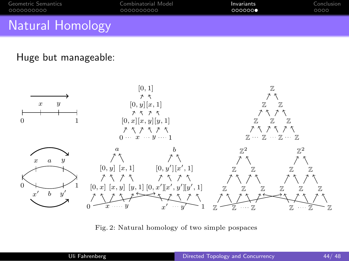<span id="page-43-0"></span>

| <b>Natural Homology</b> |                     |            |            |
|-------------------------|---------------------|------------|------------|
| Geometric Semantics     | Combinatorial Model | Invariants | Conclusion |
| 0000000000              | 0000000000          | 000000     | 0000       |

# $t$  track of  $h$  how the homology picture formed by the traces from a to b inserts into by  $t$

#### Huge but manageable:



Fig. 2: Natural homology of two simple pospaces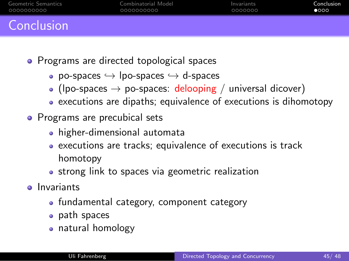<span id="page-44-0"></span>

| Geometric Semantics | Combinatorial Model | Invariants | Conclusion |
|---------------------|---------------------|------------|------------|
| .0000000000         | 0000000000          | 0000000    | 0000       |
| Conclusion          |                     |            |            |

- Programs are directed topological spaces
	- po-spaces  $\hookrightarrow$  lpo-spaces  $\hookrightarrow$  d-spaces
	- (lpo-spaces  $\rightarrow$  po-spaces: delooping / universal dicover)
	- executions are dipaths; equivalence of executions is dihomotopy
- Programs are precubical sets
	- higher-dimensional automata
	- executions are tracks; equivalence of executions is track homotopy
	- strong link to spaces via geometric realization
- **o** Invariants
	- fundamental category, component category
	- path spaces
	- natural homology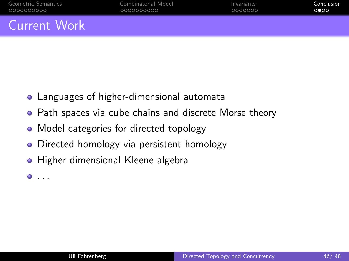<span id="page-45-0"></span>

| Geometric Semantics | Combinatorial Model | Invariants | Conclusion                  |
|---------------------|---------------------|------------|-----------------------------|
| _0000000000         | 0000000000          | 0000000    | $\circ \bullet \circ \circ$ |
|                     |                     |            |                             |

#### Current Work

- Languages of higher-dimensional automata
- **•** Path spaces via cube chains and discrete Morse theory
- Model categories for directed topology
- Directed homology via persistent homology  $\bullet$
- Higher-dimensional Kleene algebra

 $\bullet$  . . .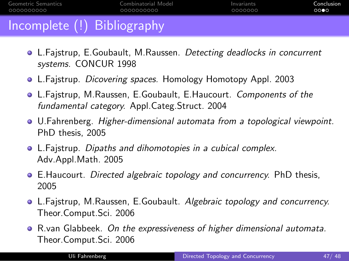<span id="page-46-0"></span>

| Geometric Semantics                                     | Combinatorial Model | Invariants | Conclusion |
|---------------------------------------------------------|---------------------|------------|------------|
| - 0000000000                                            | 0000000000          | 0000000    | 0000       |
| $\sim$ $\sim$ $\sim$ $\sim$ $\sim$ $\sim$ $\sim$ $\sim$ |                     |            |            |

## Incomplete (!) Bibliography

- **L.Fajstrup, E.Goubault, M.Raussen.** Detecting deadlocks in concurrent systems. CONCUR 1998
- L.Fajstrup. Dicovering spaces. Homology Homotopy Appl. 2003
- L.Fajstrup, M.Raussen, E.Goubault, E.Haucourt. Components of the fundamental category. Appl.Categ.Struct. 2004
- U.Fahrenberg. Higher-dimensional automata from a topological viewpoint. PhD thesis, 2005
- L.Fajstrup. Dipaths and dihomotopies in a cubical complex. Adv.Appl.Math. 2005
- **E.Haucourt.** Directed algebraic topology and concurrency. PhD thesis, 2005
- L.Fajstrup, M.Raussen, E.Goubault. Algebraic topology and concurrency. Theor.Comput.Sci. 2006
- **•** R.van Glabbeek. On the expressiveness of higher dimensional automata. Theor.Comput.Sci. 2006